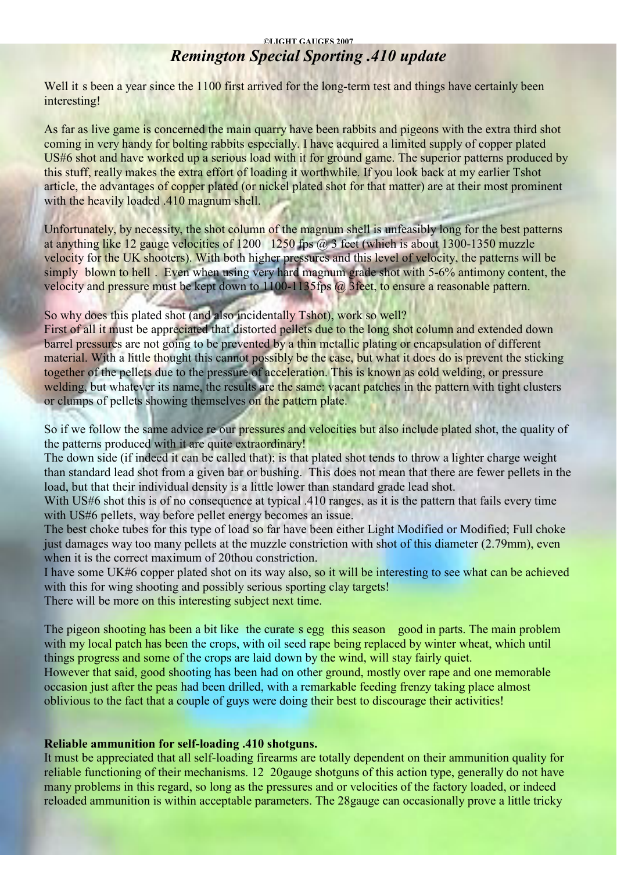#### **©LIGHT GAUGES 2007**

# *Remington Special Sporting .410 update*

Well it s been a year since the 1100 first arrived for the long-term test and things have certainly been interesting!

As far as live game is concerned the main quarry have been rabbits and pigeons with the extra third shot coming in very handy for bolting rabbits especially. I have acquired a limited supply of copper plated US#6 shot and have worked up a serious load with it for ground game. The superior patterns produced by this stuff, really makes the extra effort of loading it worthwhile. If you look back at my earlier Tshot article, the advantages of copper plated (or nickel plated shot for that matter) are at their most prominent with the heavily loaded .410 magnum shell.

Unfortunately, by necessity, the shot column of the magnum shell is unfeasibly long for the best patterns at anything like 12 gauge velocities of 1200 1250 fps @ 3 feet (which is about 1300-1350 muzzle velocity for the UK shooters). With both higher pressures and this level of velocity, the patterns will be simply blown to hell . Even when using very hard magnum grade shot with 5-6% antimony content, the velocity and pressure must be kept down to 1100-1135fps @ 3feet, to ensure a reasonable pattern.

## So why does this plated shot (and also incidentally Tshot), work so well?

First of all it must be appreciated that distorted pellets due to the long shot column and extended down barrel pressures are not going to be prevented by a thin metallic plating or encapsulation of different material. With a little thought this cannot possibly be the case, but what it does do is prevent the sticking together of the pellets due to the pressure of acceleration. This is known as cold welding, or pressure welding, but whatever its name, the results are the same: vacant patches in the pattern with tight clusters or clumps of pellets showing themselves on the pattern plate.

So if we follow the same advice re our pressures and velocities but also include plated shot, the quality of the patterns produced with it are quite extraordinary!

The down side (if indeed it can be called that); is that plated shot tends to throw a lighter charge weight than standard lead shot from a given bar or bushing. This does not mean that there are fewer pellets in the load, but that their individual density is a little lower than standard grade lead shot.

With US#6 shot this is of no consequence at typical .410 ranges, as it is the pattern that fails every time with US#6 pellets, way before pellet energy becomes an issue.

The best choke tubes for this type of load so far have been either Light Modified or Modified; Full choke just damages way too many pellets at the muzzle constriction with shot of this diameter (2.79mm), even when it is the correct maximum of 20thou constriction.

I have some UK#6 copper plated shot on its way also, so it will be interesting to see what can be achieved with this for wing shooting and possibly serious sporting clay targets!

There will be more on this interesting subject next time.

The pigeon shooting has been a bit like the curate s egg this season good in parts. The main problem with my local patch has been the crops, with oil seed rape being replaced by winter wheat, which until things progress and some of the crops are laid down by the wind, will stay fairly quiet.

However that said, good shooting has been had on other ground, mostly over rape and one memorable occasion just after the peas had been drilled, with a remarkable feeding frenzy taking place almost oblivious to the fact that a couple of guys were doing their best to discourage their activities!

## **Reliable ammunition for self-loading .410 shotguns.**

It must be appreciated that all self-loading firearms are totally dependent on their ammunition quality for reliable functioning of their mechanisms. 12 20gauge shotguns of this action type, generally do not have many problems in this regard, so long as the pressures and or velocities of the factory loaded, or indeed reloaded ammunition is within acceptable parameters. The 28gauge can occasionally prove a little tricky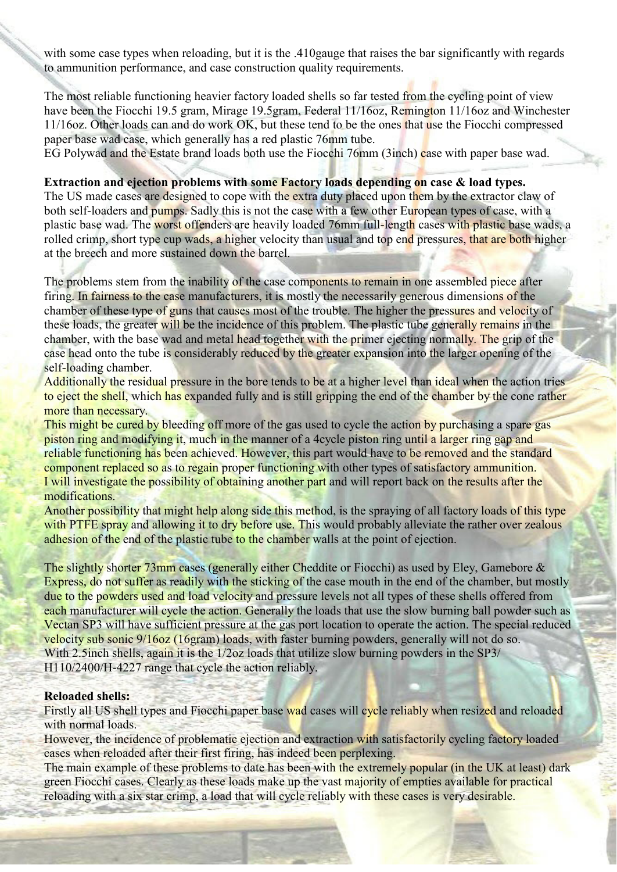with some case types when reloading, but it is the .410 gauge that raises the bar significantly with regards to ammunition performance, and case construction quality requirements.

The most reliable functioning heavier factory loaded shells so far tested from the cycling point of view have been the Fiocchi 19.5 gram, Mirage 19.5gram, Federal 11/16oz, Remington 11/16oz and Winchester 11/16oz. Other loads can and do work OK, but these tend to be the ones that use the Fiocchi compressed paper base wad case, which generally has a red plastic 76mm tube.

EG Polywad and the Estate brand loads both use the Fiocchi 76mm (3inch) case with paper base wad.

**Extraction and ejection problems with some Factory loads depending on case & load types.**

The US made cases are designed to cope with the extra duty placed upon them by the extractor claw of both self-loaders and pumps. Sadly this is not the case with a few other European types of case, with a plastic base wad. The worst offenders are heavily loaded 76mm full-length cases with plastic base wads, a rolled crimp, short type cup wads, a higher velocity than usual and top end pressures, that are both higher at the breech and more sustained down the barrel.

The problems stem from the inability of the case components to remain in one assembled piece after firing. In fairness to the case manufacturers, it is mostly the necessarily generous dimensions of the chamber of these type of guns that causes most of the trouble. The higher the pressures and velocity of these loads, the greater will be the incidence of this problem. The plastic tube generally remains in the chamber, with the base wad and metal head together with the primer ejecting normally. The grip of the case head onto the tube is considerably reduced by the greater expansion into the larger opening of the self-loading chamber.

Additionally the residual pressure in the bore tends to be at a higher level than ideal when the action tries to eject the shell, which has expanded fully and is still gripping the end of the chamber by the cone rather more than necessary.

This might be cured by bleeding off more of the gas used to cycle the action by purchasing a spare gas piston ring and modifying it, much in the manner of a 4cycle piston ring until a larger ring gap and reliable functioning has been achieved. However, this part would have to be removed and the standard component replaced so as to regain proper functioning with other types of satisfactory ammunition. I will investigate the possibility of obtaining another part and will report back on the results after the modifications.

Another possibility that might help along side this method, is the spraying of all factory loads of this type with PTFE spray and allowing it to dry before use. This would probably alleviate the rather over zealous adhesion of the end of the plastic tube to the chamber walls at the point of ejection.

The slightly shorter 73mm cases (generally either Cheddite or Fiocchi) as used by Eley, Gamebore & Express, do not suffer as readily with the sticking of the case mouth in the end of the chamber, but mostly due to the powders used and load velocity and pressure levels not all types of these shells offered from each manufacturer will cycle the action. Generally the loads that use the slow burning ball powder such as Vectan SP3 will have sufficient pressure at the gas port location to operate the action. The special reduced velocity sub sonic 9/16oz (16gram) loads, with faster burning powders, generally will not do so. With 2.5 inch shells, again it is the 1/2oz loads that utilize slow burning powders in the SP3/ H110/2400/H-4227 range that cycle the action reliably.

#### **Reloaded shells:**

Firstly all US shell types and Fiocchi paper base wad cases will cycle reliably when resized and reloaded with normal loads.

However, the incidence of problematic ejection and extraction with satisfactorily cycling factory loaded cases when reloaded after their first firing, has indeed been perplexing.

The main example of these problems to date has been with the extremely popular (in the UK at least) dark green Fiocchi cases. Clearly as these loads make up the vast majority of empties available for practical reloading with a six star crimp, a load that will cycle reliably with these cases is very desirable.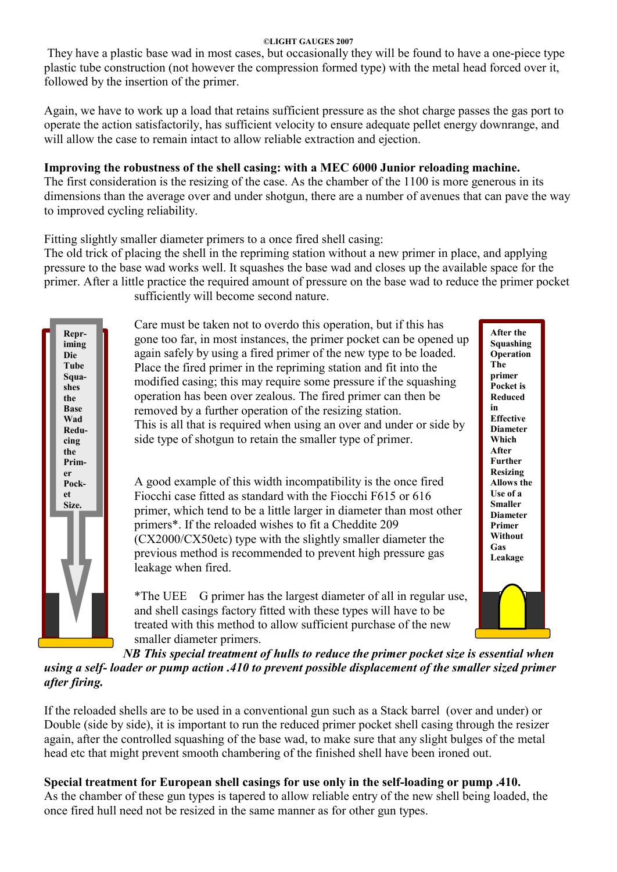## **©LIGHT GAUGES 2007**

They have a plastic base wad in most cases, but occasionally they will be found to have a one-piece type plastic tube construction (not however the compression formed type) with the metal head forced over it, followed by the insertion of the primer.

Again, we have to work up a load that retains sufficient pressure as the shot charge passes the gas port to operate the action satisfactorily, has sufficient velocity to ensure adequate pellet energy downrange, and will allow the case to remain intact to allow reliable extraction and ejection.

## **Improving the robustness of the shell casing: with a MEC 6000 Junior reloading machine.**

The first consideration is the resizing of the case. As the chamber of the 1100 is more generous in its dimensions than the average over and under shotgun, there are a number of avenues that can pave the way to improved cycling reliability.

Fitting slightly smaller diameter primers to a once fired shell casing:

The old trick of placing the shell in the repriming station without a new primer in place, and applying pressure to the base wad works well. It squashes the base wad and closes up the available space for the primer. After a little practice the required amount of pressure on the base wad to reduce the primer pocket sufficiently will become second nature.



Care must be taken not to overdo this operation, but if this has gone too far, in most instances, the primer pocket can be opened up again safely by using a fired primer of the new type to be loaded. Place the fired primer in the repriming station and fit into the modified casing; this may require some pressure if the squashing operation has been over zealous. The fired primer can then be removed by a further operation of the resizing station. This is all that is required when using an over and under or side by side type of shotgun to retain the smaller type of primer.

A good example of this width incompatibility is the once fired Fiocchi case fitted as standard with the Fiocchi F615 or 616 primer, which tend to be a little larger in diameter than most other primers\*. If the reloaded wishes to fit a Cheddite 209 (CX2000/CX50etc) type with the slightly smaller diameter the previous method is recommended to prevent high pressure gas leakage when fired.

\*The UEE G primer has the largest diameter of all in regular use, and shell casings factory fitted with these types will have to be treated with this method to allow sufficient purchase of the new smaller diameter primers.

**After the Squashing Operation The primer Pocket is Reduced in Effective Diameter Which After Further Resizing Allows the Use of a Smaller Diameter Primer Without Gas Leakage**

*NB This special treatment of hulls to reduce the primer pocket size is essential when using a self- loader or pump action .410 to prevent possible displacement of the smaller sized primer after firing.*

If the reloaded shells are to be used in a conventional gun such as a Stack barrel (over and under) or Double (side by side), it is important to run the reduced primer pocket shell casing through the resizer again, after the controlled squashing of the base wad, to make sure that any slight bulges of the metal head etc that might prevent smooth chambering of the finished shell have been ironed out.

**Special treatment for European shell casings for use only in the self-loading or pump .410.** As the chamber of these gun types is tapered to allow reliable entry of the new shell being loaded, the once fired hull need not be resized in the same manner as for other gun types.